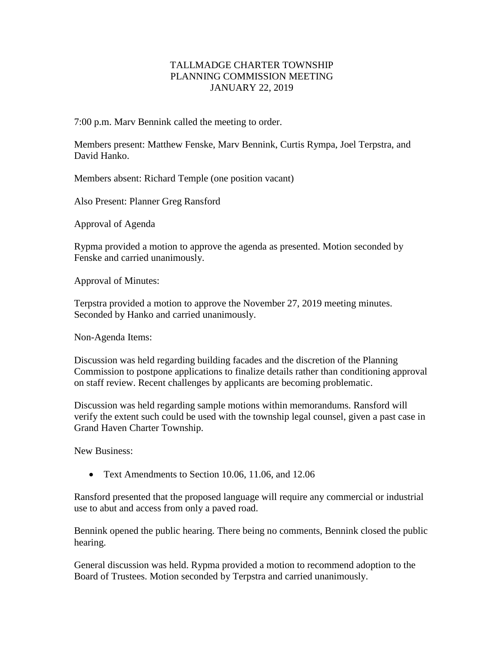## TALLMADGE CHARTER TOWNSHIP PLANNING COMMISSION MEETING JANUARY 22, 2019

7:00 p.m. Marv Bennink called the meeting to order.

Members present: Matthew Fenske, Marv Bennink, Curtis Rympa, Joel Terpstra, and David Hanko.

Members absent: Richard Temple (one position vacant)

Also Present: Planner Greg Ransford

Approval of Agenda

Rypma provided a motion to approve the agenda as presented. Motion seconded by Fenske and carried unanimously.

Approval of Minutes:

Terpstra provided a motion to approve the November 27, 2019 meeting minutes. Seconded by Hanko and carried unanimously.

Non-Agenda Items:

Discussion was held regarding building facades and the discretion of the Planning Commission to postpone applications to finalize details rather than conditioning approval on staff review. Recent challenges by applicants are becoming problematic.

Discussion was held regarding sample motions within memorandums. Ransford will verify the extent such could be used with the township legal counsel, given a past case in Grand Haven Charter Township.

New Business:

• Text Amendments to Section 10.06, 11.06, and 12.06

Ransford presented that the proposed language will require any commercial or industrial use to abut and access from only a paved road.

Bennink opened the public hearing. There being no comments, Bennink closed the public hearing.

General discussion was held. Rypma provided a motion to recommend adoption to the Board of Trustees. Motion seconded by Terpstra and carried unanimously.